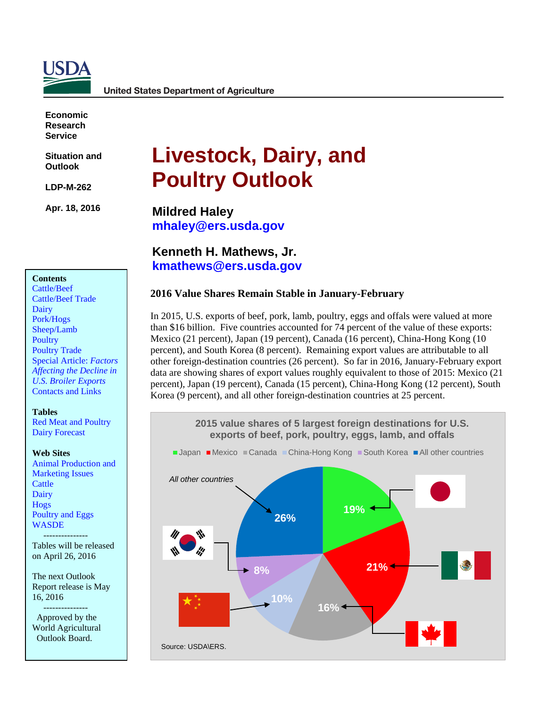

**United States Department of Agriculture** 

**Economic Research Service**

**Situation and Outlook** 

**LDP-M-262** 

**Apr. 18, 2016**

# **Livestock, Dairy, and Poultry Outlook**

**Mildred Haley [mhaley@ers.usda.gov](mailto:mhaley@ers.usda.gov)**

**Kenneth H. Mathews, Jr. [kmathews@ers.usda.gov](mailto:kmathews@ers.usda.gov)**

#### **2016 Value Shares Remain Stable in January-February**

In 2015, U.S. exports of beef, pork, lamb, poultry, eggs and offals were valued at more than \$16 billion. Five countries accounted for 74 percent of the value of these exports: Mexico (21 percent), Japan (19 percent), Canada (16 percent), China-Hong Kong (10 percent), and South Korea (8 percent). Remaining export values are attributable to all other foreign-destination countries (26 percent). So far in 2016, January-February export data are showing shares of export values roughly equivalent to those of 2015: Mexico (21 percent), Japan (19 percent), Canada (15 percent), China-Hong Kong (12 percent), South Korea (9 percent), and all other foreign-destination countries at 25 percent.



#### **Contents**

[Cattle/Beef](#page-2-0) [Cattle/Beef](#page-3-0) Trade [Dairy](#page-4-0) [Pork/Hogs](#page-8-0) [Sheep/Lamb](#page-11-0) **[Poultry](#page-14-0)** [Poultry Trade](#page-17-0) Special Article: *Factors Affecting the Decline in [U.S. Broiler Exports](#page-21-0)* [Contacts and Links](#page-18-0) 

#### **Tables**

[Red Meat and Poultry](#page-19-0) [Dairy Forecast](#page-20-0)

#### **Web Sites**

[Animal Production and](http://www.ers.usda.gov/topics/animal-products/animal-production-marketing-issues.aspx) [Marketing Issues](http://www.ers.usda.gov/topics/animal-products/animal-production-marketing-issues.aspx) **[Cattle](http://www.ers.usda.gov/topics/animal-products/cattle-beef.aspx)** [Dairy](http://www.ers.usda.gov/topics/animal-products/dairy.aspx) [Hogs](http://www.ers.usda.gov/topics/animal-products/hogs-pork.aspx) [Poultry and Eggs](http://www.ers.usda.gov/topics/animal-products/poultry-eggs.aspx) **[WASDE](http://usda.mannlib.cornell.edu/MannUsda/viewDocumentInfo.do?documentID=1194)** 

 --------------- Tables will be released on April 26, 2016

The next Outlook Report release is May 16, 2016

 --------------- Approved by the World Agricultural Outlook Board.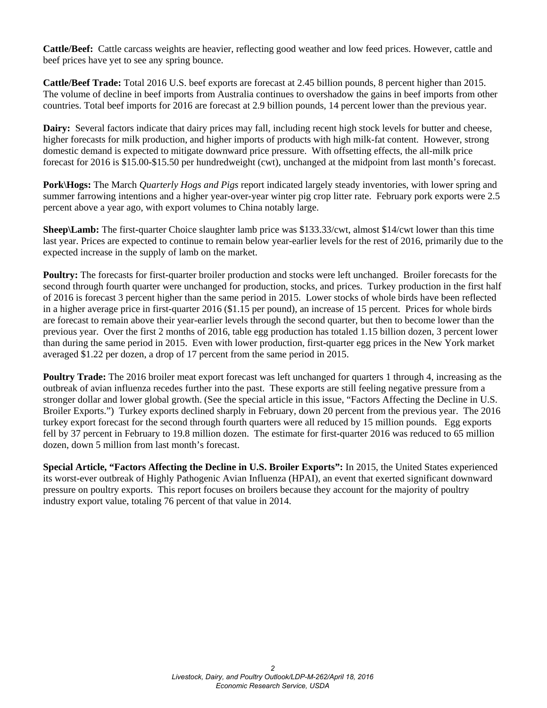**Cattle/Beef:** Cattle carcass weights are heavier, reflecting good weather and low feed prices. However, cattle and beef prices have yet to see any spring bounce.

**Cattle/Beef Trade:** Total 2016 U.S. beef exports are forecast at 2.45 billion pounds, 8 percent higher than 2015. The volume of decline in beef imports from Australia continues to overshadow the gains in beef imports from other countries. Total beef imports for 2016 are forecast at 2.9 billion pounds, 14 percent lower than the previous year.

**Dairy:** Several factors indicate that dairy prices may fall, including recent high stock levels for butter and cheese, higher forecasts for milk production, and higher imports of products with high milk-fat content. However, strong domestic demand is expected to mitigate downward price pressure. With offsetting effects, the all-milk price forecast for 2016 is \$15.00-\$15.50 per hundredweight (cwt), unchanged at the midpoint from last month's forecast.

**Pork\Hogs:** The March *Quarterly Hogs and Pigs* report indicated largely steady inventories, with lower spring and summer farrowing intentions and a higher year-over-year winter pig crop litter rate. February pork exports were 2.5 percent above a year ago, with export volumes to China notably large.

**Sheep\Lamb:** The first-quarter Choice slaughter lamb price was \$133.33/cwt, almost \$14/cwt lower than this time last year. Prices are expected to continue to remain below year-earlier levels for the rest of 2016, primarily due to the expected increase in the supply of lamb on the market.

**Poultry:** The forecasts for first-quarter broiler production and stocks were left unchanged. Broiler forecasts for the second through fourth quarter were unchanged for production, stocks, and prices. Turkey production in the first half of 2016 is forecast 3 percent higher than the same period in 2015. Lower stocks of whole birds have been reflected in a higher average price in first-quarter 2016 (\$1.15 per pound), an increase of 15 percent. Prices for whole birds are forecast to remain above their year-earlier levels through the second quarter, but then to become lower than the previous year. Over the first 2 months of 2016, table egg production has totaled 1.15 billion dozen, 3 percent lower than during the same period in 2015. Even with lower production, first-quarter egg prices in the New York market averaged \$1.22 per dozen, a drop of 17 percent from the same period in 2015.

**Poultry Trade:** The 2016 broiler meat export forecast was left unchanged for quarters 1 through 4, increasing as the outbreak of avian influenza recedes further into the past. These exports are still feeling negative pressure from a stronger dollar and lower global growth. (See the special article in this issue, "Factors Affecting the Decline in U.S. Broiler Exports.") Turkey exports declined sharply in February, down 20 percent from the previous year. The 2016 turkey export forecast for the second through fourth quarters were all reduced by 15 million pounds. Egg exports fell by 37 percent in February to 19.8 million dozen. The estimate for first-quarter 2016 was reduced to 65 million dozen, down 5 million from last month's forecast.

**Special Article, "Factors Affecting the Decline in U.S. Broiler Exports":** In 2015, the United States experienced its worst-ever outbreak of Highly Pathogenic Avian Influenza (HPAI), an event that exerted significant downward pressure on poultry exports. This report focuses on broilers because they account for the majority of poultry industry export value, totaling 76 percent of that value in 2014.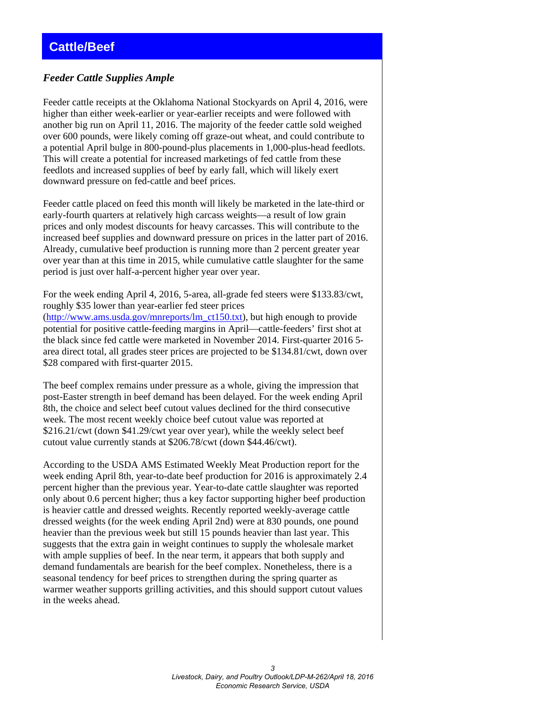#### <span id="page-2-0"></span>*Feeder Cattle Supplies Ample*

Feeder cattle receipts at the Oklahoma National Stockyards on April 4, 2016, were higher than either week-earlier or year-earlier receipts and were followed with another big run on April 11, 2016. The majority of the feeder cattle sold weighed over 600 pounds, were likely coming off graze-out wheat, and could contribute to a potential April bulge in 800-pound-plus placements in 1,000-plus-head feedlots. This will create a potential for increased marketings of fed cattle from these feedlots and increased supplies of beef by early fall, which will likely exert downward pressure on fed-cattle and beef prices.

Feeder cattle placed on feed this month will likely be marketed in the late-third or early-fourth quarters at relatively high carcass weights—a result of low grain prices and only modest discounts for heavy carcasses. This will contribute to the increased beef supplies and downward pressure on prices in the latter part of 2016. Already, cumulative beef production is running more than 2 percent greater year over year than at this time in 2015, while cumulative cattle slaughter for the same period is just over half-a-percent higher year over year.

For the week ending April 4, 2016, 5-area, all-grade fed steers were \$133.83/cwt, roughly \$35 lower than year-earlier fed steer prices [\(http://www.ams.usda.gov/mnreports/lm\\_ct150.txt\)](http://www.ams.usda.gov/mnreports/lm_ct150.txt), but high enough to provide potential for positive cattle-feeding margins in April—cattle-feeders' first shot at the black since fed cattle were marketed in November 2014. First-quarter 2016 5 area direct total, all grades steer prices are projected to be \$134.81/cwt, down over \$28 compared with first-quarter 2015.

The beef complex remains under pressure as a whole, giving the impression that post-Easter strength in beef demand has been delayed. For the week ending April 8th, the choice and select beef cutout values declined for the third consecutive week. The most recent weekly choice beef cutout value was reported at \$216.21/cwt (down \$41.29/cwt year over year), while the weekly select beef cutout value currently stands at \$206.78/cwt (down \$44.46/cwt).

According to the USDA AMS Estimated Weekly Meat Production report for the week ending April 8th, year-to-date beef production for 2016 is approximately 2.4 percent higher than the previous year. Year-to-date cattle slaughter was reported only about 0.6 percent higher; thus a key factor supporting higher beef production is heavier cattle and dressed weights. Recently reported weekly-average cattle dressed weights (for the week ending April 2nd) were at 830 pounds, one pound heavier than the previous week but still 15 pounds heavier than last year. This suggests that the extra gain in weight continues to supply the wholesale market with ample supplies of beef. In the near term, it appears that both supply and demand fundamentals are bearish for the beef complex. Nonetheless, there is a seasonal tendency for beef prices to strengthen during the spring quarter as warmer weather supports grilling activities, and this should support cutout values in the weeks ahead.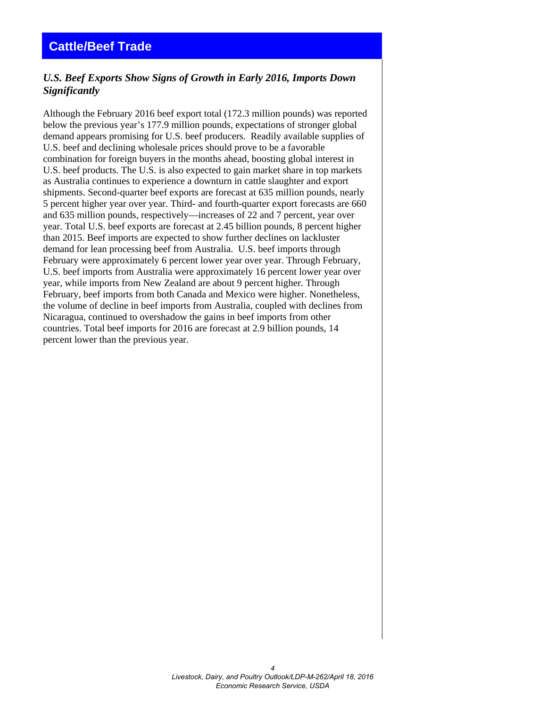### <span id="page-3-0"></span>**Cattle/Beef Trade**

#### *U.S. Beef Exports Show Signs of Growth in Early 2016, Imports Down Significantly*

Although the February 2016 beef export total (172.3 million pounds) was reported below the previous year's 177.9 million pounds, expectations of stronger global demand appears promising for U.S. beef producers. Readily available supplies of U.S. beef and declining wholesale prices should prove to be a favorable combination for foreign buyers in the months ahead, boosting global interest in U.S. beef products. The U.S. is also expected to gain market share in top markets as Australia continues to experience a downturn in cattle slaughter and export shipments. Second-quarter beef exports are forecast at 635 million pounds, nearly 5 percent higher year over year. Third- and fourth-quarter export forecasts are 660 and 635 million pounds, respectively—increases of 22 and 7 percent, year over year. Total U.S. beef exports are forecast at 2.45 billion pounds, 8 percent higher than 2015. Beef imports are expected to show further declines on lackluster demand for lean processing beef from Australia. U.S. beef imports through February were approximately 6 percent lower year over year. Through February, U.S. beef imports from Australia were approximately 16 percent lower year over year, while imports from New Zealand are about 9 percent higher. Through February, beef imports from both Canada and Mexico were higher. Nonetheless, the volume of decline in beef imports from Australia, coupled with declines from Nicaragua, continued to overshadow the gains in beef imports from other countries. Total beef imports for 2016 are forecast at 2.9 billion pounds, 14 percent lower than the previous year.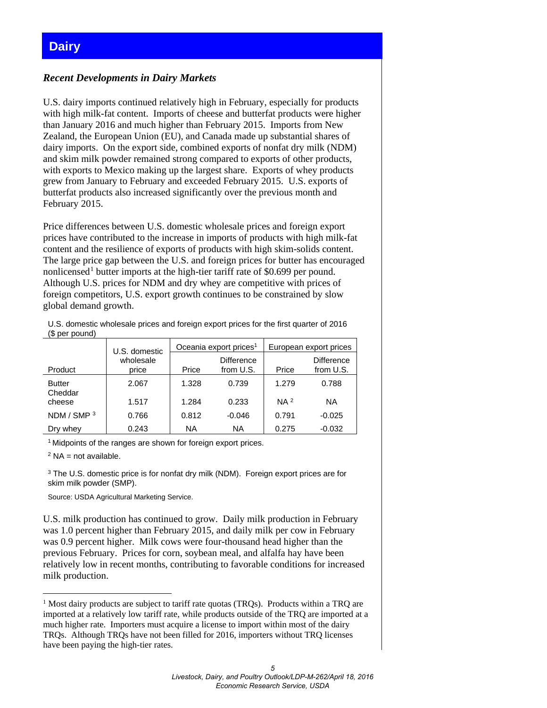## <span id="page-4-0"></span>**Dairy**

#### *Recent Developments in Dairy Markets*

U.S. dairy imports continued relatively high in February, especially for products with high milk-fat content. Imports of cheese and butterfat products were higher than January 2016 and much higher than February 2015. Imports from New Zealand, the European Union (EU), and Canada made up substantial shares of dairy imports. On the export side, combined exports of nonfat dry milk (NDM) and skim milk powder remained strong compared to exports of other products, with exports to Mexico making up the largest share. Exports of whey products grew from January to February and exceeded February 2015. U.S. exports of butterfat products also increased significantly over the previous month and February 2015.

Price differences between U.S. domestic wholesale prices and foreign export prices have contributed to the increase in imports of products with high milk-fat content and the resilience of exports of products with high skim-solids content. The large price gap between the U.S. and foreign prices for butter has encouraged nonlicensed<sup>[1](#page-4-1)</sup> butter imports at the high-tier tariff rate of \$0.699 per pound. Although U.S. prices for NDM and dry whey are competitive with prices of foreign competitors, U.S. export growth continues to be constrained by slow global demand growth.

U.S. domestic wholesale prices and foreign export prices for the first quarter of 2016 (\$ per pound)

|                          | U.S. domestic      |       | Oceania export prices <sup>1</sup> | European export prices |                                |  |  |  |  |
|--------------------------|--------------------|-------|------------------------------------|------------------------|--------------------------------|--|--|--|--|
| Product                  | wholesale<br>price | Price | <b>Difference</b><br>from U.S.     | Price                  | <b>Difference</b><br>from U.S. |  |  |  |  |
| <b>Butter</b><br>Cheddar | 2.067              | 1.328 | 0.739                              | 1.279                  | 0.788                          |  |  |  |  |
| cheese                   | 1.517              | 1.284 | 0.233                              | NA <sup>2</sup>        | ΝA                             |  |  |  |  |
| NDM / SMP 3              | 0.766              | 0.812 | $-0.046$                           | 0.791                  | $-0.025$                       |  |  |  |  |
| Dry whey                 | 0.243              | ΝA    | ΝA                                 | 0.275                  | $-0.032$                       |  |  |  |  |

<sup>1</sup> Midpoints of the ranges are shown for foreign export prices.

 $2$  NA = not available.

-

<sup>3</sup> The U.S. domestic price is for nonfat dry milk (NDM). Foreign export prices are for skim milk powder (SMP).

Source: USDA Agricultural Marketing Service.

U.S. milk production has continued to grow. Daily milk production in February was 1.0 percent higher than February 2015, and daily milk per cow in February was 0.9 percent higher. Milk cows were four-thousand head higher than the previous February. Prices for corn, soybean meal, and alfalfa hay have been relatively low in recent months, contributing to favorable conditions for increased milk production.

<span id="page-4-1"></span> $1$  Most dairy products are subject to tariff rate quotas (TRQs). Products within a TRQ are imported at a relatively low tariff rate, while products outside of the TRQ are imported at a much higher rate. Importers must acquire a license to import within most of the dairy TRQs. Although TRQs have not been filled for 2016, importers without TRQ licenses have been paying the high-tier rates.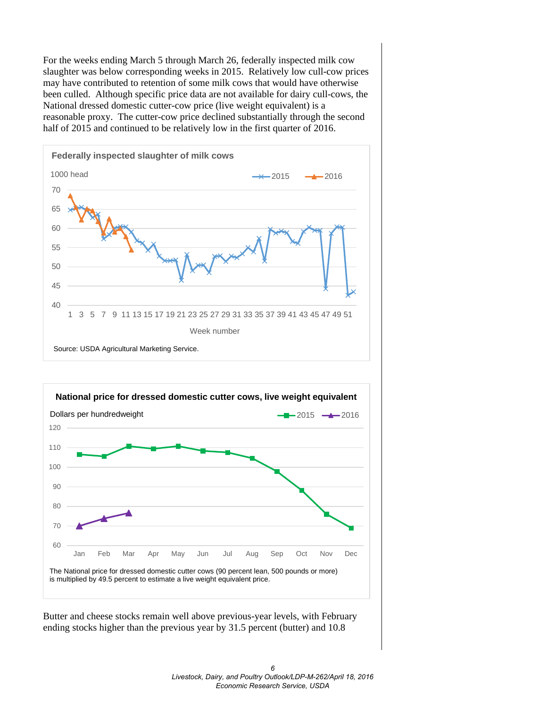For the weeks ending March 5 through March 26, federally inspected milk cow slaughter was below corresponding weeks in 2015. Relatively low cull-cow prices may have contributed to retention of some milk cows that would have otherwise been culled. Although specific price data are not available for dairy cull-cows, the National dressed domestic cutter-cow price (live weight equivalent) is a reasonable proxy. The cutter-cow price declined substantially through the second half of 2015 and continued to be relatively low in the first quarter of 2016.



*6 Livestock, Dairy, and Poultry Outlook/LDP-M-262/April 18, 2016 Economic Research Service, USDA*

Butter and cheese stocks remain well above previous-year levels, with February ending stocks higher than the previous year by 31.5 percent (butter) and 10.8

The National price for dressed domestic cutter cows (90 percent lean, 500 pounds or more)

is multiplied by 49.5 percent to estimate a live weight equivalent price.

Jan Feb Mar Apr May Jun Jul Aug Sep Oct Nov Dec

60

70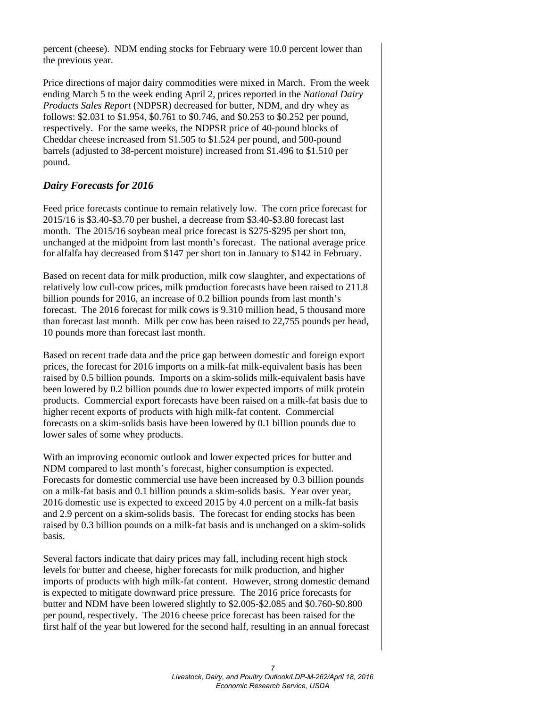percent (cheese). NDM ending stocks for February were 10.0 percent lower than the previous year.

Price directions of major dairy commodities were mixed in March. From the week ending March 5 to the week ending April 2, prices reported in the *National Dairy Products Sales Report* (NDPSR) decreased for butter, NDM, and dry whey as follows: \$2.031 to \$1.954, \$0.761 to \$0.746, and \$0.253 to \$0.252 per pound, respectively. For the same weeks, the NDPSR price of 40-pound blocks of Cheddar cheese increased from \$1.505 to \$1.524 per pound, and 500-pound barrels (adjusted to 38-percent moisture) increased from \$1.496 to \$1.510 per pound.

#### *Dairy Forecasts for 2016*

Feed price forecasts continue to remain relatively low. The corn price forecast for 2015/16 is \$3.40-\$3.70 per bushel, a decrease from \$3.40-\$3.80 forecast last month. The 2015/16 soybean meal price forecast is \$275-\$295 per short ton, unchanged at the midpoint from last month's forecast. The national average price for alfalfa hay decreased from \$147 per short ton in January to \$142 in February.

Based on recent data for milk production, milk cow slaughter, and expectations of relatively low cull-cow prices, milk production forecasts have been raised to 211.8 billion pounds for 2016, an increase of 0.2 billion pounds from last month's forecast. The 2016 forecast for milk cows is 9.310 million head, 5 thousand more than forecast last month. Milk per cow has been raised to 22,755 pounds per head, 10 pounds more than forecast last month.

Based on recent trade data and the price gap between domestic and foreign export prices, the forecast for 2016 imports on a milk-fat milk-equivalent basis has been raised by 0.5 billion pounds. Imports on a skim-solids milk-equivalent basis have been lowered by 0.2 billion pounds due to lower expected imports of milk protein products. Commercial export forecasts have been raised on a milk-fat basis due to higher recent exports of products with high milk-fat content. Commercial forecasts on a skim-solids basis have been lowered by 0.1 billion pounds due to lower sales of some whey products.

With an improving economic outlook and lower expected prices for butter and NDM compared to last month's forecast, higher consumption is expected. Forecasts for domestic commercial use have been increased by 0.3 billion pounds on a milk-fat basis and 0.1 billion pounds a skim-solids basis. Year over year, 2016 domestic use is expected to exceed 2015 by 4.0 percent on a milk-fat basis and 2.9 percent on a skim-solids basis. The forecast for ending stocks has been raised by 0.3 billion pounds on a milk-fat basis and is unchanged on a skim-solids basis.

Several factors indicate that dairy prices may fall, including recent high stock levels for butter and cheese, higher forecasts for milk production, and higher imports of products with high milk-fat content. However, strong domestic demand is expected to mitigate downward price pressure. The 2016 price forecasts for butter and NDM have been lowered slightly to \$2.005-\$2.085 and \$0.760-\$0.800 per pound, respectively. The 2016 cheese price forecast has been raised for the first half of the year but lowered for the second half, resulting in an annual forecast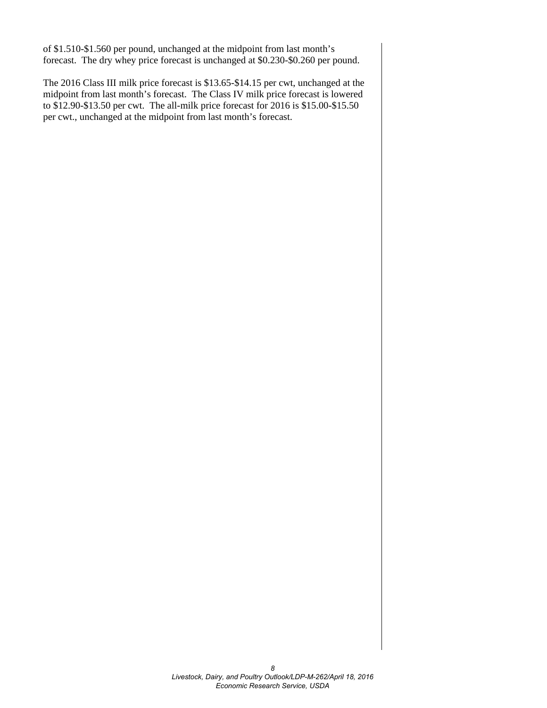of \$1.510-\$1.560 per pound, unchanged at the midpoint from last month's forecast. The dry whey price forecast is unchanged at \$0.230-\$0.260 per pound.

The 2016 Class III milk price forecast is \$13.65-\$14.15 per cwt, unchanged at the midpoint from last month's forecast. The Class IV milk price forecast is lowered to \$12.90-\$13.50 per cwt. The all-milk price forecast for 2016 is \$15.00-\$15.50 per cwt., unchanged at the midpoint from last month's forecast.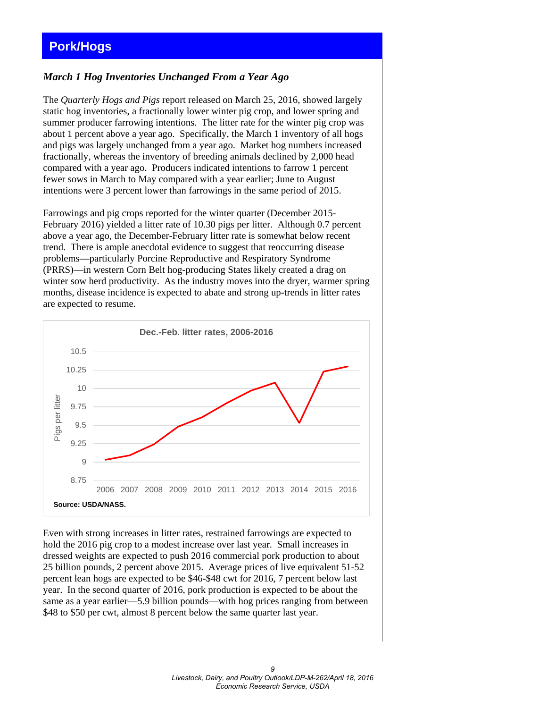## <span id="page-8-0"></span>**Pork/Hogs**

#### *March 1 Hog Inventories Unchanged From a Year Ago*

The *Quarterly Hogs and Pigs* report released on March 25, 2016, showed largely static hog inventories, a fractionally lower winter pig crop, and lower spring and summer producer farrowing intentions. The litter rate for the winter pig crop was about 1 percent above a year ago. Specifically, the March 1 inventory of all hogs and pigs was largely unchanged from a year ago. Market hog numbers increased fractionally, whereas the inventory of breeding animals declined by 2,000 head compared with a year ago. Producers indicated intentions to farrow 1 percent fewer sows in March to May compared with a year earlier; June to August intentions were 3 percent lower than farrowings in the same period of 2015.

Farrowings and pig crops reported for the winter quarter (December 2015- February 2016) yielded a litter rate of 10.30 pigs per litter. Although 0.7 percent above a year ago, the December-February litter rate is somewhat below recent trend. There is ample anecdotal evidence to suggest that reoccurring disease problems—particularly Porcine Reproductive and Respiratory Syndrome (PRRS)—in western Corn Belt hog-producing States likely created a drag on winter sow herd productivity. As the industry moves into the dryer, warmer spring months, disease incidence is expected to abate and strong up-trends in litter rates are expected to resume.



Even with strong increases in litter rates, restrained farrowings are expected to hold the 2016 pig crop to a modest increase over last year. Small increases in dressed weights are expected to push 2016 commercial pork production to about 25 billion pounds, 2 percent above 2015. Average prices of live equivalent 51-52 percent lean hogs are expected to be \$46-\$48 cwt for 2016, 7 percent below last year. In the second quarter of 2016, pork production is expected to be about the same as a year earlier—5.9 billion pounds—with hog prices ranging from between \$48 to \$50 per cwt, almost 8 percent below the same quarter last year.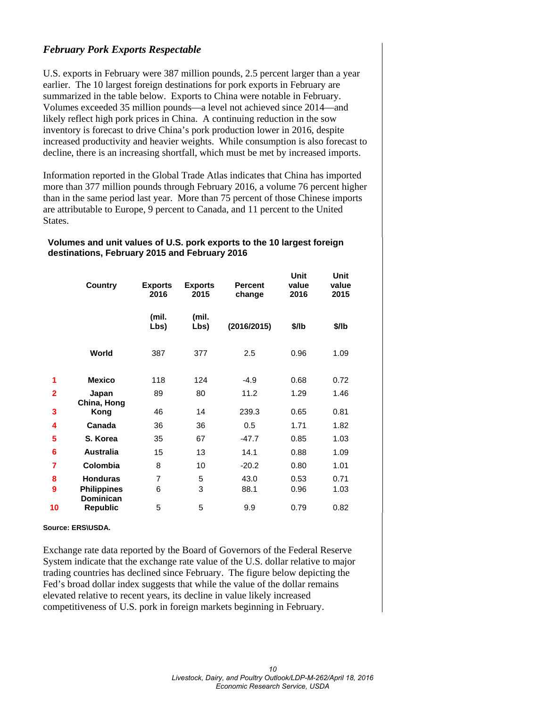#### *February Pork Exports Respectable*

U.S. exports in February were 387 million pounds, 2.5 percent larger than a year earlier. The 10 largest foreign destinations for pork exports in February are summarized in the table below. Exports to China were notable in February. Volumes exceeded 35 million pounds—a level not achieved since 2014—and likely reflect high pork prices in China. A continuing reduction in the sow inventory is forecast to drive China's pork production lower in 2016, despite increased productivity and heavier weights. While consumption is also forecast to decline, there is an increasing shortfall, which must be met by increased imports.

Information reported in the Global Trade Atlas indicates that China has imported more than 377 million pounds through February 2016, a volume 76 percent higher than in the same period last year. More than 75 percent of those Chinese imports are attributable to Europe, 9 percent to Canada, and 11 percent to the United States.

#### **Volumes and unit values of U.S. pork exports to the 10 largest foreign destinations, February 2015 and February 2016**

|                | Country                                | <b>Exports</b><br>2016 | <b>Exports</b><br>2015 | <b>Percent</b><br>change | Unit<br>value<br>2016 | Unit<br>value<br>2015 |
|----------------|----------------------------------------|------------------------|------------------------|--------------------------|-----------------------|-----------------------|
|                |                                        | (mil.<br>Lbs)          | (mil.<br>Lbs)          | (2016/2015)              | \$/lb                 | \$/lb                 |
|                | World                                  | 387                    | 377                    | 2.5                      | 0.96                  | 1.09                  |
| 1              | <b>Mexico</b>                          | 118                    | 124                    | $-4.9$                   | 0.68                  | 0.72                  |
| $\overline{2}$ | Japan                                  | 89                     | 80                     | 11.2                     | 1.29                  | 1.46                  |
| 3              | China, Hong<br>Kong                    | 46                     | 14                     | 239.3                    | 0.65                  | 0.81                  |
| 4              | Canada                                 | 36                     | 36                     | 0.5                      | 1.71                  | 1.82                  |
| 5              | S. Korea                               | 35                     | 67                     | $-47.7$                  | 0.85                  | 1.03                  |
| 6              | <b>Australia</b>                       | 15                     | 13                     | 14.1                     | 0.88                  | 1.09                  |
| 7              | <b>Colombia</b>                        | 8                      | 10                     | $-20.2$                  | 0.80                  | 1.01                  |
| 8              | <b>Honduras</b>                        | $\overline{7}$         | 5                      | 43.0                     | 0.53                  | 0.71                  |
| 9              | <b>Philippines</b><br><b>Dominican</b> | 6                      | 3                      | 88.1                     | 0.96                  | 1.03                  |
| 10             | <b>Republic</b>                        | 5                      | 5                      | 9.9                      | 0.79                  | 0.82                  |

#### **Source: ERS\USDA.**

Exchange rate data reported by the Board of Governors of the Federal Reserve System indicate that the exchange rate value of the U.S. dollar relative to major trading countries has declined since February. The figure below depicting the Fed's broad dollar index suggests that while the value of the dollar remains elevated relative to recent years, its decline in value likely increased competitiveness of U.S. pork in foreign markets beginning in February.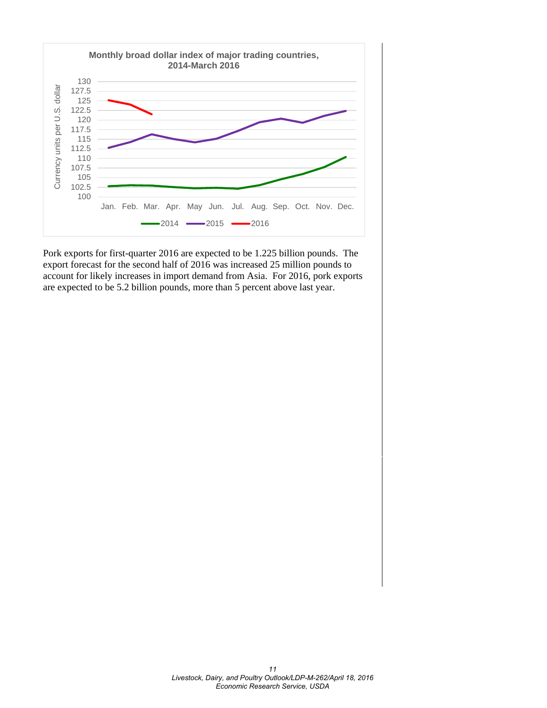

Pork exports for first-quarter 2016 are expected to be 1.225 billion pounds. The export forecast for the second half of 2016 was increased 25 million pounds to account for likely increases in import demand from Asia. For 2016, pork exports are expected to be 5.2 billion pounds, more than 5 percent above last year.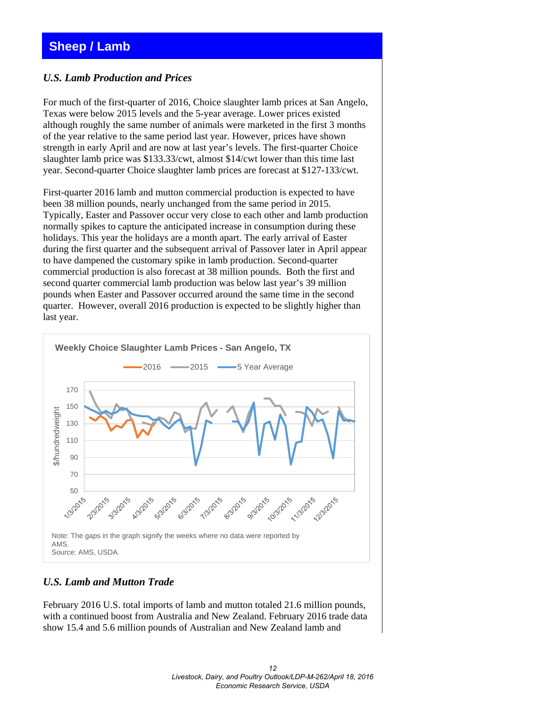## <span id="page-11-0"></span>**Sheep / Lamb**

#### *U.S. Lamb Production and Prices*

For much of the first-quarter of 2016, Choice slaughter lamb prices at San Angelo, Texas were below 2015 levels and the 5-year average. Lower prices existed although roughly the same number of animals were marketed in the first 3 months of the year relative to the same period last year. However, prices have shown strength in early April and are now at last year's levels. The first-quarter Choice slaughter lamb price was \$133.33/cwt, almost \$14/cwt lower than this time last year. Second-quarter Choice slaughter lamb prices are forecast at \$127-133/cwt.

First-quarter 2016 lamb and mutton commercial production is expected to have been 38 million pounds, nearly unchanged from the same period in 2015. Typically, Easter and Passover occur very close to each other and lamb production normally spikes to capture the anticipated increase in consumption during these holidays. This year the holidays are a month apart. The early arrival of Easter during the first quarter and the subsequent arrival of Passover later in April appear to have dampened the customary spike in lamb production. Second-quarter commercial production is also forecast at 38 million pounds. Both the first and second quarter commercial lamb production was below last year's 39 million pounds when Easter and Passover occurred around the same time in the second quarter. However, overall 2016 production is expected to be slightly higher than last year.



#### *U.S. Lamb and Mutton Trade*

February 2016 U.S. total imports of lamb and mutton totaled 21.6 million pounds, with a continued boost from Australia and New Zealand. February 2016 trade data show 15.4 and 5.6 million pounds of Australian and New Zealand lamb and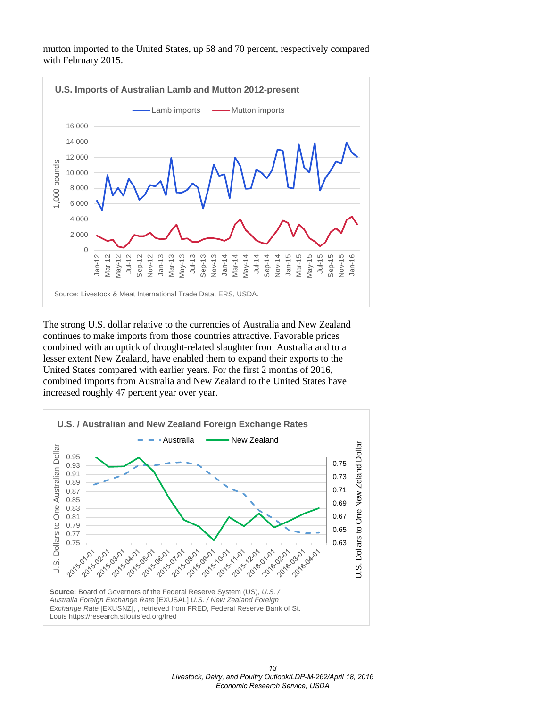mutton imported to the United States, up 58 and 70 percent, respectively compared with February 2015.



The strong U.S. dollar relative to the currencies of Australia and New Zealand continues to make imports from those countries attractive. Favorable prices combined with an uptick of drought-related slaughter from Australia and to a lesser extent New Zealand, have enabled them to expand their exports to the United States compared with earlier years. For the first 2 months of 2016, combined imports from Australia and New Zealand to the United States have increased roughly 47 percent year over year.

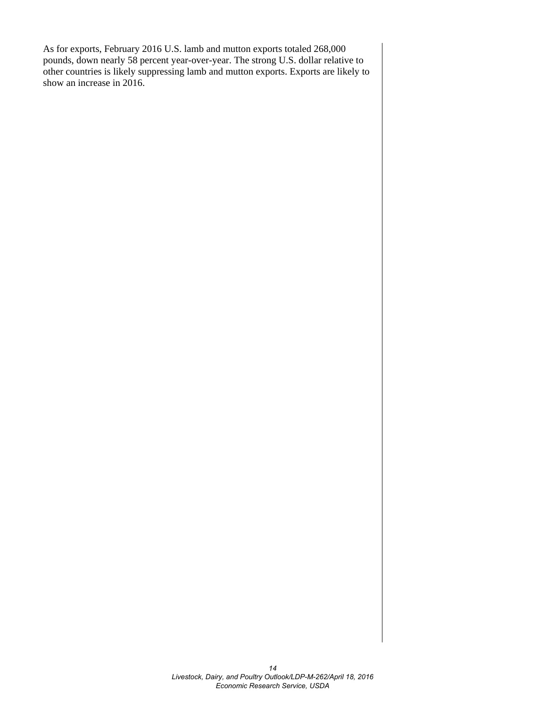As for exports, February 2016 U.S. lamb and mutton exports totaled 268,000 pounds, down nearly 58 percent year-over-year. The strong U.S. dollar relative to other countries is likely suppressing lamb and mutton exports. Exports are likely to show an increase in 2016.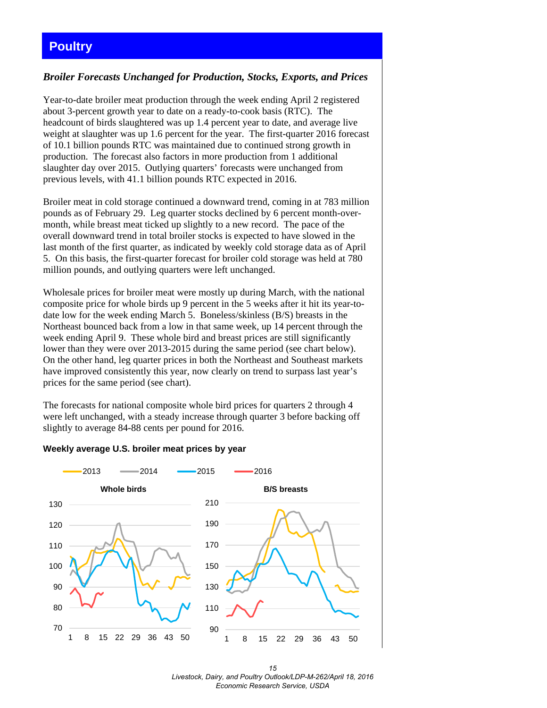## <span id="page-14-0"></span>**Poultry**

#### *Broiler Forecasts Unchanged for Production, Stocks, Exports, and Prices*

Year-to-date broiler meat production through the week ending April 2 registered about 3-percent growth year to date on a ready-to-cook basis (RTC). The headcount of birds slaughtered was up 1.4 percent year to date, and average live weight at slaughter was up 1.6 percent for the year. The first-quarter 2016 forecast of 10.1 billion pounds RTC was maintained due to continued strong growth in production. The forecast also factors in more production from 1 additional slaughter day over 2015. Outlying quarters' forecasts were unchanged from previous levels, with 41.1 billion pounds RTC expected in 2016.

Broiler meat in cold storage continued a downward trend, coming in at 783 million pounds as of February 29. Leg quarter stocks declined by 6 percent month-overmonth, while breast meat ticked up slightly to a new record. The pace of the overall downward trend in total broiler stocks is expected to have slowed in the last month of the first quarter, as indicated by weekly cold storage data as of April 5. On this basis, the first-quarter forecast for broiler cold storage was held at 780 million pounds, and outlying quarters were left unchanged.

Wholesale prices for broiler meat were mostly up during March, with the national composite price for whole birds up 9 percent in the 5 weeks after it hit its year-todate low for the week ending March 5. Boneless/skinless (B/S) breasts in the Northeast bounced back from a low in that same week, up 14 percent through the week ending April 9. These whole bird and breast prices are still significantly lower than they were over 2013-2015 during the same period (see chart below). On the other hand, leg quarter prices in both the Northeast and Southeast markets have improved consistently this year, now clearly on trend to surpass last year's prices for the same period (see chart).

The forecasts for national composite whole bird prices for quarters 2 through 4 were left unchanged, with a steady increase through quarter 3 before backing off slightly to average 84-88 cents per pound for 2016.

#### **Weekly average U.S. broiler meat prices by year**



*15 Livestock, Dairy, and Poultry Outlook/LDP-M-262/April 18, 2016 Economic Research Service, USDA*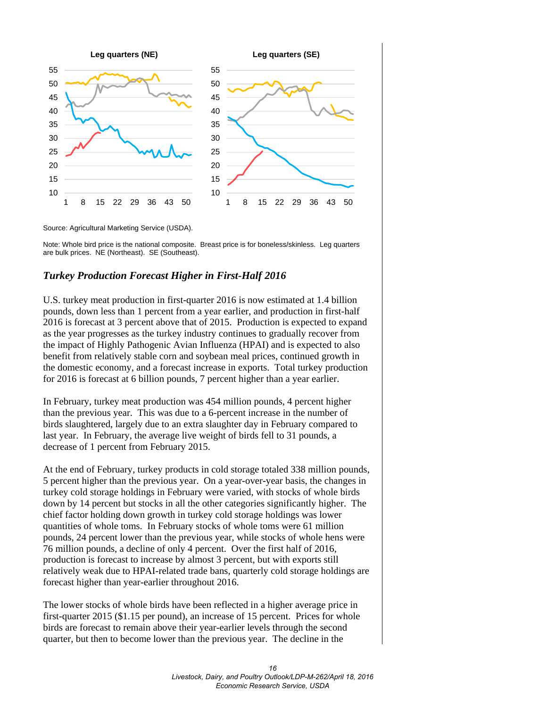

Source: Agricultural Marketing Service (USDA).

Note: Whole bird price is the national composite. Breast price is for boneless/skinless. Leg quarters are bulk prices. NE (Northeast). SE (Southeast).

#### *Turkey Production Forecast Higher in First-Half 2016*

U.S. turkey meat production in first-quarter 2016 is now estimated at 1.4 billion pounds, down less than 1 percent from a year earlier, and production in first-half 2016 is forecast at 3 percent above that of 2015. Production is expected to expand as the year progresses as the turkey industry continues to gradually recover from the impact of Highly Pathogenic Avian Influenza (HPAI) and is expected to also benefit from relatively stable corn and soybean meal prices, continued growth in the domestic economy, and a forecast increase in exports. Total turkey production for 2016 is forecast at 6 billion pounds, 7 percent higher than a year earlier.

In February, turkey meat production was 454 million pounds, 4 percent higher than the previous year. This was due to a 6-percent increase in the number of birds slaughtered, largely due to an extra slaughter day in February compared to last year. In February, the average live weight of birds fell to 31 pounds, a decrease of 1 percent from February 2015.

At the end of February, turkey products in cold storage totaled 338 million pounds, 5 percent higher than the previous year. On a year-over-year basis, the changes in turkey cold storage holdings in February were varied, with stocks of whole birds down by 14 percent but stocks in all the other categories significantly higher. The chief factor holding down growth in turkey cold storage holdings was lower quantities of whole toms. In February stocks of whole toms were 61 million pounds, 24 percent lower than the previous year, while stocks of whole hens were 76 million pounds, a decline of only 4 percent. Over the first half of 2016, production is forecast to increase by almost 3 percent, but with exports still relatively weak due to HPAI-related trade bans, quarterly cold storage holdings are forecast higher than year-earlier throughout 2016.

The lower stocks of whole birds have been reflected in a higher average price in first-quarter 2015 (\$1.15 per pound), an increase of 15 percent. Prices for whole birds are forecast to remain above their year-earlier levels through the second quarter, but then to become lower than the previous year. The decline in the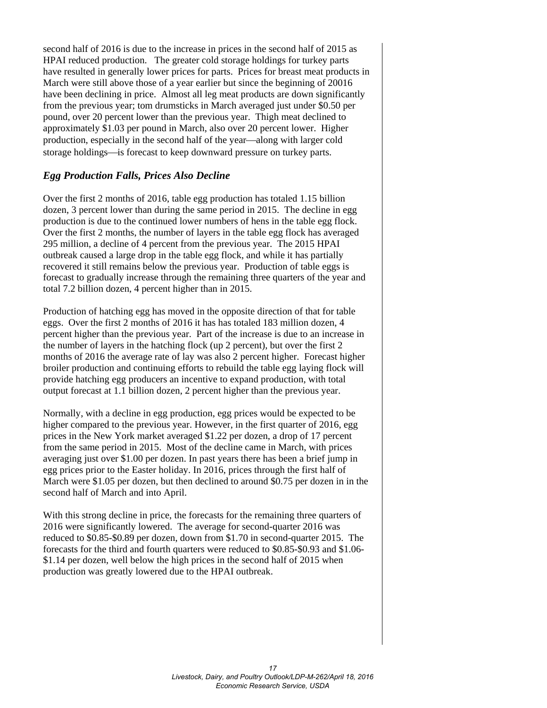second half of 2016 is due to the increase in prices in the second half of 2015 as HPAI reduced production. The greater cold storage holdings for turkey parts have resulted in generally lower prices for parts. Prices for breast meat products in March were still above those of a year earlier but since the beginning of 20016 have been declining in price. Almost all leg meat products are down significantly from the previous year; tom drumsticks in March averaged just under \$0.50 per pound, over 20 percent lower than the previous year. Thigh meat declined to approximately \$1.03 per pound in March, also over 20 percent lower. Higher production, especially in the second half of the year—along with larger cold storage holdings—is forecast to keep downward pressure on turkey parts.

#### *Egg Production Falls, Prices Also Decline*

Over the first 2 months of 2016, table egg production has totaled 1.15 billion dozen, 3 percent lower than during the same period in 2015. The decline in egg production is due to the continued lower numbers of hens in the table egg flock. Over the first 2 months, the number of layers in the table egg flock has averaged 295 million, a decline of 4 percent from the previous year. The 2015 HPAI outbreak caused a large drop in the table egg flock, and while it has partially recovered it still remains below the previous year. Production of table eggs is forecast to gradually increase through the remaining three quarters of the year and total 7.2 billion dozen, 4 percent higher than in 2015.

Production of hatching egg has moved in the opposite direction of that for table eggs. Over the first 2 months of 2016 it has has totaled 183 million dozen, 4 percent higher than the previous year. Part of the increase is due to an increase in the number of layers in the hatching flock (up 2 percent), but over the first 2 months of 2016 the average rate of lay was also 2 percent higher. Forecast higher broiler production and continuing efforts to rebuild the table egg laying flock will provide hatching egg producers an incentive to expand production, with total output forecast at 1.1 billion dozen, 2 percent higher than the previous year.

Normally, with a decline in egg production, egg prices would be expected to be higher compared to the previous year. However, in the first quarter of 2016, egg prices in the New York market averaged \$1.22 per dozen, a drop of 17 percent from the same period in 2015. Most of the decline came in March, with prices averaging just over \$1.00 per dozen. In past years there has been a brief jump in egg prices prior to the Easter holiday. In 2016, prices through the first half of March were \$1.05 per dozen, but then declined to around \$0.75 per dozen in in the second half of March and into April.

With this strong decline in price, the forecasts for the remaining three quarters of 2016 were significantly lowered. The average for second-quarter 2016 was reduced to \$0.85-\$0.89 per dozen, down from \$1.70 in second-quarter 2015. The forecasts for the third and fourth quarters were reduced to \$0.85-\$0.93 and \$1.06- \$1.14 per dozen, well below the high prices in the second half of 2015 when production was greatly lowered due to the HPAI outbreak.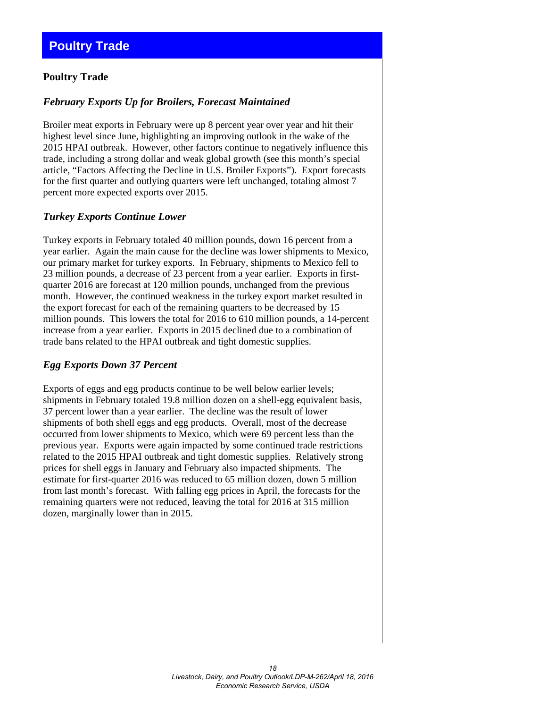#### <span id="page-17-0"></span>**Poultry Trade**

#### *February Exports Up for Broilers, Forecast Maintained*

Broiler meat exports in February were up 8 percent year over year and hit their highest level since June, highlighting an improving outlook in the wake of the 2015 HPAI outbreak. However, other factors continue to negatively influence this trade, including a strong dollar and weak global growth (see this month's special article, "Factors Affecting the Decline in U.S. Broiler Exports"). Export forecasts for the first quarter and outlying quarters were left unchanged, totaling almost 7 percent more expected exports over 2015.

#### *Turkey Exports Continue Lower*

Turkey exports in February totaled 40 million pounds, down 16 percent from a year earlier. Again the main cause for the decline was lower shipments to Mexico, our primary market for turkey exports. In February, shipments to Mexico fell to 23 million pounds, a decrease of 23 percent from a year earlier. Exports in firstquarter 2016 are forecast at 120 million pounds, unchanged from the previous month. However, the continued weakness in the turkey export market resulted in the export forecast for each of the remaining quarters to be decreased by 15 million pounds. This lowers the total for 2016 to 610 million pounds, a 14-percent increase from a year earlier. Exports in 2015 declined due to a combination of trade bans related to the HPAI outbreak and tight domestic supplies.

#### *Egg Exports Down 37 Percent*

Exports of eggs and egg products continue to be well below earlier levels; shipments in February totaled 19.8 million dozen on a shell-egg equivalent basis, 37 percent lower than a year earlier. The decline was the result of lower shipments of both shell eggs and egg products. Overall, most of the decrease occurred from lower shipments to Mexico, which were 69 percent less than the previous year. Exports were again impacted by some continued trade restrictions related to the 2015 HPAI outbreak and tight domestic supplies. Relatively strong prices for shell eggs in January and February also impacted shipments. The estimate for first-quarter 2016 was reduced to 65 million dozen, down 5 million from last month's forecast. With falling egg prices in April, the forecasts for the remaining quarters were not reduced, leaving the total for 2016 at 315 million dozen, marginally lower than in 2015.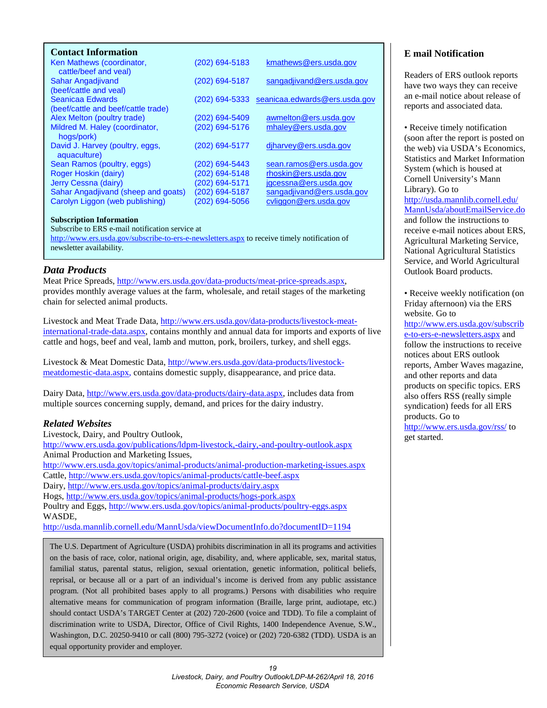<span id="page-18-0"></span>

| <b>Contact Information</b>                         |                  |                               |
|----------------------------------------------------|------------------|-------------------------------|
| Ken Mathews (coordinator,<br>cattle/beef and veal) | (202) 694-5183   | kmathews@ers.usda.gov         |
| Sahar Angadjivand                                  | (202) 694-5187   | sangadjivand@ers.usda.gov     |
| (beef/cattle and veal)                             |                  |                               |
| Seanicaa Edwards                                   | $(202)$ 694-5333 | seanicaa.edwards@ers.usda.gov |
| (beef/cattle and beef/cattle trade)                |                  |                               |
| Alex Melton (poultry trade)                        | (202) 694-5409   | awmelton@ers.usda.gov         |
| Mildred M. Haley (coordinator,                     | (202) 694-5176   | mhaley@ers.usda.gov           |
| hogs/pork)                                         |                  |                               |
| David J. Harvey (poultry, eggs,                    | (202) 694-5177   | djharvey@ers.usda.gov         |
| aquaculture)                                       |                  |                               |
| Sean Ramos (poultry, eggs)                         | (202) 694-5443   | sean.ramos@ers.usda.gov       |
| Roger Hoskin (dairy)                               | (202) 694-5148   | rhoskin@ers.usda.gov          |
| Jerry Cessna (dairy)                               | (202) 694-5171   | jgcessna@ers.usda.gov         |
| Sahar Angadjivand (sheep and goats)                | (202) 694-5187   | sangadjivand@ers.usda.gov     |
| Carolyn Liggon (web publishing)                    | (202) 694-5056   | cyliggon@ers.usda.gov         |
|                                                    |                  |                               |

#### **Subscription Information**

Subscribe to ERS e-mail notification service at

<http://www.ers.usda.gov/subscribe-to-ers-e-newsletters.aspx> to receive timely notification of newsletter availability.

#### *Data Products*

Meat Price Spreads, [http://www.ers.usda.gov/data-products/meat-price-spreads.aspx,](http://www.ers.usda.gov/data-products/meat-price-spreads.aspx) provides monthly average values at the farm, wholesale, and retail stages of the marketing chain for selected animal products.

Livestock and Meat Trade Data, [http://www.ers.usda.gov/data-products/livestock-meat](http://www.ers.usda.gov/data-products/livestock-meat-international-trade-data.aspx)[international-trade-data.aspx,](http://www.ers.usda.gov/data-products/livestock-meat-international-trade-data.aspx) contains monthly and annual data for imports and exports of live cattle and hogs, beef and veal, lamb and mutton, pork, broilers, turkey, and shell eggs.

Livestock & Meat Domestic Data, [http://www.ers.usda.gov/data-products/livestock](http://www.ers.usda.gov/data-products/livestock-meatdomestic-data.aspx)[meatdomestic-data.aspx,](http://www.ers.usda.gov/data-products/livestock-meatdomestic-data.aspx) contains domestic supply, disappearance, and price data.

Dairy Data, [http://www.ers.usda.gov/data-products/dairy-data.aspx,](http://www.ers.usda.gov/data-products/dairy-data.aspx) includes data from multiple sources concerning supply, demand, and prices for the dairy industry.

#### *Related Websites*

Livestock, Dairy, and Poultry Outlook, <http://www.ers.usda.gov/publications/ldpm-livestock,-dairy,-and-poultry-outlook.aspx> Animal Production and Marketing Issues, <http://www.ers.usda.gov/topics/animal-products/animal-production-marketing-issues.aspx> Cattle,<http://www.ers.usda.gov/topics/animal-products/cattle-beef.aspx> Dairy,<http://www.ers.usda.gov/topics/animal-products/dairy.aspx> Hogs,<http://www.ers.usda.gov/topics/animal-products/hogs-pork.aspx> Poultry and Eggs,<http://www.ers.usda.gov/topics/animal-products/poultry-eggs.aspx> WASDE, <http://usda.mannlib.cornell.edu/MannUsda/viewDocumentInfo.do?documentID=1194>

The U.S. Department of Agriculture (USDA) prohibits discrimination in all its programs and activities on the basis of race, color, national origin, age, disability, and, where applicable, sex, marital status, familial status, parental status, religion, sexual orientation, genetic information, political beliefs, reprisal, or because all or a part of an individual's income is derived from any public assistance program. (Not all prohibited bases apply to all programs.) Persons with disabilities who require alternative means for communication of program information (Braille, large print, audiotape, etc.) should contact USDA's TARGET Center at (202) 720-2600 (voice and TDD). To file a complaint of discrimination write to USDA, Director, Office of Civil Rights, 1400 Independence Avenue, S.W., Washington, D.C. 20250-9410 or call (800) 795-3272 (voice) or (202) 720-6382 (TDD). USDA is an equal opportunity provider and employer.

#### **E mail Notification**

Readers of ERS outlook reports have two ways they can receive an e-mail notice about release of reports and associated data.

• Receive timely notification (soon after the report is posted on the web) via USDA's Economics, Statistics and Market Information System (which is housed at Cornell University's Mann Library). Go to [http://usda.mannlib.cornell.edu/](http://usda.mannlib.cornell.edu/MannUsda/aboutEmailService.do) [MannUsda/aboutEmailService.do](http://usda.mannlib.cornell.edu/MannUsda/aboutEmailService.do) and follow the instructions to receive e-mail notices about ERS, Agricultural Marketing Service, National Agricultural Statistics Service, and World Agricultural Outlook Board products.

• Receive weekly notification (on Friday afternoon) via the ERS website. Go to [http://www.ers.usda.gov/subscrib](http://www.ers.usda.gov/subscribe-to-ers-e-newsletters.aspx)

[e-to-ers-e-newsletters.aspx](http://www.ers.usda.gov/subscribe-to-ers-e-newsletters.aspx) and follow the instructions to receive notices about ERS outlook reports, Amber Waves magazine, and other reports and data products on specific topics. ERS also offers RSS (really simple syndication) feeds for all ERS products. Go to <http://www.ers.usda.gov/rss/> to get started.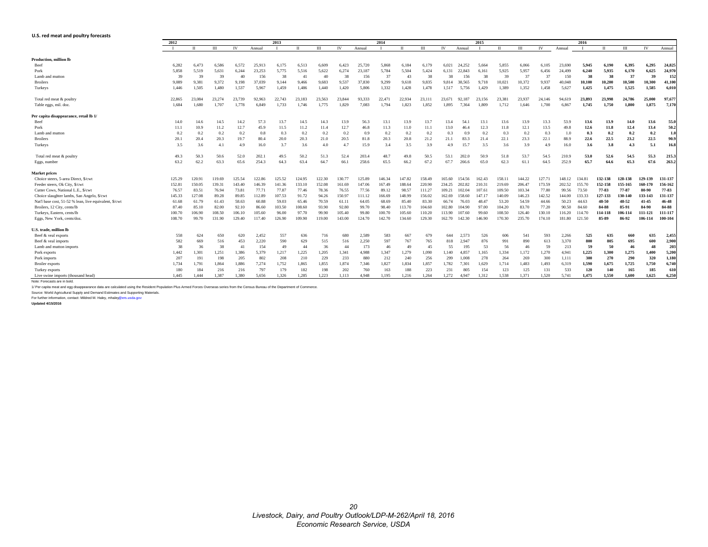#### <span id="page-19-0"></span>**U.S. red meat and poultry forecasts**

|                                                        |        |             |        |        |        |        |        |        | 2014   |        |        |        |        |        |        |        |              |        |        |        |        |              |         |         |           |
|--------------------------------------------------------|--------|-------------|--------|--------|--------|--------|--------|--------|--------|--------|--------|--------|--------|--------|--------|--------|--------------|--------|--------|--------|--------|--------------|---------|---------|-----------|
|                                                        | 2012   | $_{\rm II}$ | Ш      | IV     | Annual | 2013   |        | Ш      | IV     |        |        |        | Ш      | IV     | Annual | 2015   | $\mathbf{I}$ | Ш      | IV     | Annual | 2016   | $\mathbf{u}$ | III     | IV      | Annual    |
|                                                        |        |             |        |        |        |        |        |        |        | Annual |        |        |        |        |        |        |              |        |        |        |        |              |         |         |           |
| Production, million lb                                 |        |             |        |        |        |        |        |        |        |        |        |        |        |        |        |        |              |        |        |        |        |              |         |         |           |
| Beef                                                   | 6.282  | 6.473       | 6.586  | 6.572  | 25.913 | 6.175  | 6.513  | 6.609  | 6.423  | 25.720 | 5.868  | 6.184  | 6.179  | 6.021  | 24.252 | 5.664  | 5.855        | 6.066  | 6.105  | 23.690 | 5.945  | 6,190        | 6.395   | 6.295   | 24,825    |
| Pork                                                   | 5.858  | 5.519       | 5.631  | 6.244  | 23.253 | 5.775  | 5.516  | 5.622  | 6.274  | 23.187 | 5.784  | 5.504  | 5,424  | 6.131  | 22.843 | 6.161  | 5.925        | 5.957  | 6.456  | 24.499 | 6,240  | 5,935        | 6.170   | 6.625   | 24,970    |
| Lamb and mutton                                        | 39     | 39          | 39     | 40     | 156    | -38    | 41     | 40     | 38     | 156    | 37     | 43     | 38     | 38     | 156    | 38     | 39           | 37     | 37     | 150    | 38     | 38           | 37      | 39      | 152       |
| <b>Broilers</b>                                        | 9,089  | 9,381       | 9,372  | 9,198  | 37,039 | 9,144  | 9,466  | 9,683  | 9,537  | 37,830 | 9,299  | 9,618  | 9,835  | 9,814  | 38.565 | 9.718  | 10,021       | 10,372 | 9,937  | 40.048 | 10,100 | 10,200       | 10,500  | 10,300  | 41,100    |
| Turkeys                                                | 1,446  | 1,505       | 1,480  | 1,537  | 5,967  | 1,459  | 1,486  | 1,440  | 1,420  | 5,806  | 1,332  | 1,428  | 1,478  | 1,517  | 5,756  | 1,429  | 1,389        | 1,352  | 1,458  | 5,627  | 1,425  | 1,475        | 1,525   | 1,585   | 6,010     |
| Total red meat & poultry                               | 22,865 | 23.084      | 23.274 | 23.739 | 92,963 | 22,743 | 23.183 | 23.563 | 23.844 | 93,333 | 22,47  | 22,934 | 23.111 | 23.671 | 92.187 | 23.156 | 23.381       | 23.937 | 24,146 | 94.619 | 23,893 | 23,998       | 24,786  | 25,000  | 97,677    |
| Table eggs, mil. doz.                                  | 1,684  | 1,680       | 1.707  | 1,778  | 6.849  | 1.733  | 1,746  | 1,775  | 1,829  | 7.083  | 1,794  | 1,823  | 1,852  | 1.895  | 7.364  | 1.809  | 1,712        | 1,646  | 1,700  | 6.867  | 1,745  | 1,750        | 1,800   | 1,875   | 7,170     |
| Per capita disappearance, retail lb 1/                 |        |             |        |        |        |        |        |        |        |        |        |        |        |        |        |        |              |        |        |        |        |              |         |         |           |
| Beef                                                   | 14.0   | 14.6        | 14.5   | 14.2   | 57.3   | 13.7   | 14.5   | 14.3   | 13.9   | 56.3   | 13.1   | 13.9   | 13.7   | 13.4   | 54.    | 13.1   | 13.6         | 13.9   | 13.3   | 53.9   | 13.6   | 13.9         | 14.0    | 13.6    | 55.0      |
| Pork                                                   | 11.1   | 10.9        | 11.2   | 12.7   | 45.9   | 11.5   | 11.2   | 11.4   | 12.7   | 46.8   | 11.3   | 11.0   | 11.1   | 13.0   | 46.4   | 12.3   | 11.8         | 12.1   | 13.5   | 49.8   | 12.6   | 11.8         | 12.4    | 13.4    | 50.2      |
| Lamb and mutton                                        | 0.2    | 0.2         | 0.2    | 0.2    | 0.8    | 0.3    | 0.2    | 0.2    | 0.2    | 0.9    | 0.2    | 0.2    | 0.2    | 0.3    | 0.9    | 0.2    | 0.3          | 0.2    | 0.3    | 1.0    | 0.3    | 0.2          | 0.2     | 0.2     | 1.0       |
| <b>Broilers</b>                                        | 20.1   | 20.4        | 20.3   | 19.7   | 80.4   | 20.0   | 20.3   | 21.0   | 20.5   | 81.8   | 20.3   | 20.8   | 21.2   | 21.1   | 83.3   | 21.4   | 22.1         | 23.3   | 22.1   | 88.9   | 22.6   | 22.5         | 23.2    | 22.5    | 90.9      |
| Turkeys                                                | 3.5    | 3.6         | 4.1    | 4.9    | 16.0   | 3.7    | 3.6    | 4.0    | 4.7    | 15.9   | 3.4    | 3.5    | 3.9    | 4.9    | 15.7   | 3.5    | 3.6          | 3.9    | 4.9    | 16.0   | 3.6    | 3.8          | 4.3     | 5.1     | 16.8      |
| Total red meat & poultry                               | 49.3   | 50.3        | 50.6   | 52.0   | 202.   | 49.5   | 50.2   | 51.3   | 52.4   | 203.4  | 48.7   | 49.8   | 50.5   | 53.1   | 202.0  | 50.9   | 51.8         | 53.7   | 54.5   | 210.9  | 53.0   | 52.6         | 54.5    | 55.3    | 215.3     |
| Eggs, number                                           | 63.2   | 62.2        | 63.3   | 65.6   | 254.3  | 64.3   | 63.4   | 64.7   | 66.1   | 258.6  | 65.5   | 66.2   | 67.2   | 67.7   | 266.6  | 65.0   | 62.3         | 61.1   | 64.5   | 252.9  | 65.7   | 64.6         | 65.3    | 67.6    | 263.2     |
| <b>Market prices</b>                                   |        |             |        |        |        |        |        |        |        |        |        |        |        |        |        |        |              |        |        |        |        |              |         |         |           |
| Choice steers, 5-area Direct, \$/cwt                   | 125.29 | 120.91      | 119.69 | 125.54 | 122.86 | 125.52 | 124.95 | 122.30 | 130.77 | 125.89 | 146.34 | 147.82 | 158.49 | 165.60 | 154.56 | 162.43 | 158.1        | 144.22 | 127.71 | 148.12 | 134.81 | 132-138      | 128-138 | 129-139 | 131-137   |
| Feeder steers, Ok City, \$/cwt                         | 152.81 | 150.05      | 139.31 | 143.40 | 146.39 | 141.36 | 133.10 | 152.08 | 161.69 | 147.06 | 167.49 | 188.64 | 220.90 | 234.25 | 202.82 | 210.31 | 219.69       | 206.47 | 173.59 | 202.52 | 155.70 | 152-158      | 155-165 | 160-170 | 156-162   |
| Cutter Cows, National L.E., \$/cwt                     | 76.57  | 83.51       | 76.94  | 73.81  | 77.71  | 77.87  | 77.46  | 78.36  | 76.55  | 77.56  | 89.12  | 98.57  | 111.27 | 109.21 | 102.04 | 107.61 | 109.50       | 103.34 | 77.80  | 99.56  | 73.50  | 77-83        | 77-87   | 80-90   | 77-83     |
| Choice slaughter lambs, San Angelo, \$/cwt             | 145.33 | 127.08      | 89.28  | 89.85  | 112.89 | 107.53 | 91.72  | 94.26  | 150.97 | 111.12 | 166.69 | 148.99 | 156.02 | 162.69 | 158.60 | 147.17 | 140.09       | 146.23 | 142.52 | 144.00 | 133.33 | 127-133      | 130-140 | 133-143 | 131-137   |
| Nat'l base cost, 51-52 % lean, live equivalent, \$/cwt | 61.68  | 61.79       | 61.43  | 58.63  | 60.88  | 59.03  | 65.46  | 70.59  | 61.11  | 64.05  | 68.69  | 85.40  | 83.30  | 66.74  | 76.03  | 48.47  | 53.20        | 54.59  | 44.66  | 50.23  | 44.63  | 48-50        | 48-52   | 41-45   | $46 - 48$ |
| Broilers, 12 City, cents/lb                            | 87.40  | 85.10       | 82.00  | 92.10  | 86.60  | 103.50 | 108.60 | 93.90  | 92.80  | 99.70  | 98.40  | 113.70 | 104.60 | 102.80 | 104.90 | 97.00  | 104.20       | 83.70  | 77.20  | 90.50  | 84.60  | 84-88        | 85-91   | 84-90   | 84-88     |
| Turkeys, Eastern, cents/lb                             | 100.70 | 106.90      | 108.50 | 106.10 | 105.60 | 96.00  | 97.70  | 99.90  | 105.40 | 99.80  | 100.70 | 105.60 | 110.20 | 113.90 | 107.60 | 99.60  | 108.50       | 126.40 | 130.10 | 116.20 | 114.70 | 114-118      | 106-114 | 111-121 | 111-117   |
| Eggs, New York, cents/doz.                             | 108.70 | 99.70       | 131.90 | 129.40 | 117.40 | 126.90 | 109.90 | 119.00 | 143.00 | 124.70 | 142.70 | 134.60 | 129.30 | 162.70 | 142.30 | 146.90 | 170.30       | 235.70 | 174.10 | 181.80 | 121.50 | 85-89        | 86-92   | 106-114 | 100-104   |
| U.S. trade, million lb                                 |        |             |        |        |        |        |        |        |        |        |        |        |        |        |        |        |              |        |        |        |        |              |         |         |           |
| Beef & veal exports                                    | 558    | 624         | 650    | 620    | 2,452  | 557    | 636    | 716    | 680    | 2,589  | 583    | 667    | 679    | 644    | 2.573  | 526    | 606          | 541    | 593    | 2,266  | 525    | 635          | 660     | 635     | 2,455     |
| Beef & veal imports                                    | 582    | 669         | 516    | 453    | 2,220  | 590    | 629    | 515    | 516    | 2,250  | 597    | 767    | 765    | 818    | 2.947  | 876    | 991          | 890    | 613    | 3,370  | 800    | 805          | 695     | 600     | 2,900     |
| Lamb and mutton imports                                | 38     | 36          | 38     | 41     | 154    | 49     | 44     | 36     | 44     | 173    | 46     | 49     | 45     | 55     | 195    | 53     | 56           | 46     | 59     | 213    | 59     | 50           | 46      | 48      | 203       |
| Pork exports                                           | 1,442  | 1.301       | 1,251  | 1.386  | 5.379  | 1,217  | 1,225  | 1,205  | 1.341  | 4.988  | 1,347  | 1,279  | 1.090  | 1.140  | 4.857  | .165   | 1.334        | 1.172  | 1,270  | 4.941  | 1,225  | 1,300        | 1,275   | 1,400   | 5,200     |
| Pork imports                                           | 207    | 191         | 198    | 205    | 802    | 208    | 210    | 229    | 233    | 880    | 212    | 240    | 256    | 299    | 1.008  | 278    | 264          | 269    | 300    | 1,111  | 300    | 270          | 290     | 320     | 1,180     |
| <b>Broiler</b> exports                                 | 1,734  | 1,791       | 1,864  | 1,886  | 7,274  | 1,752  | 1,865  | 1,855  | 1,874  | 7.346  | 1,827  | 1,834  | 1,857  | 1,782  | 7,301  | 1,629  | 1.714        | 1,483  | 1.493  | 6,319  | 1,590  | 1,675        | 1,725   | 1,750   | 6,740     |
| Turkey exports                                         | 180    | 184         | 216    | 216    | 797    | 179    | 182    | 198    | 202    | 760    | 163    | 188    | 223    | 231    | 805    | 154    | 123          | 125    | 131    | 533    | 120    | 140          | 165     | 185     | 610       |
| Live swine imports (thousand head)                     | 1.445  | 1.444       | 1.387  | 1.380  | 5.656  | 1.326  | 1.285  | 1.223  | 1.113  | 4.948  | 1.195  | 1.216  | 1.264  | 1.272  | 4.947  | 1.312  | 1.538        | 1.371  | 1.520  | 5.741  | 1.475  | 1.550        | 1.600   | 1.625   | 6.250     |
| Note: Forecasts are in bold.                           |        |             |        |        |        |        |        |        |        |        |        |        |        |        |        |        |              |        |        |        |        |              |         |         |           |

Note: Forecasts are in bold.<br>1/ Per capita meat and egg disappearance data are calculated using the Resident Population Plus Armed Forces Overseas series from the Census Bureau of the Department of Commerce.

Source: World Agricultural Supply and Demand Estimates and Supporting Materials.<br>For further information, contact: Mildred M. Haley, mhaley@ers.usda.gov<br>**Updated 4/15/2016**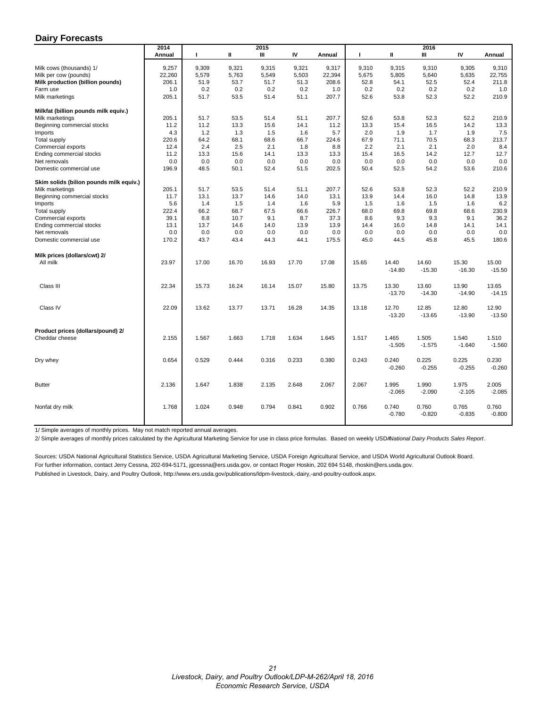#### <span id="page-20-0"></span>**Dairy Forecasts**

|                                         | 2014   | 2015  |       |               |       |                 |       | 2016              |                   |                   |                   |  |  |  |  |
|-----------------------------------------|--------|-------|-------|---------------|-------|-----------------|-------|-------------------|-------------------|-------------------|-------------------|--|--|--|--|
|                                         | Annual | т     | Ш     | Ш             | IV    | Annual          | п     | Ш                 | Ш                 | IV                | Annual            |  |  |  |  |
|                                         |        |       |       |               |       |                 |       |                   |                   |                   |                   |  |  |  |  |
| Milk cows (thousands) 1/                | 9,257  | 9,309 | 9,321 | 9,315         | 9,321 | 9,317           | 9,310 | 9,315             | 9,310             | 9,305             | 9,310             |  |  |  |  |
| Milk per cow (pounds)                   | 22,260 | 5,579 | 5,763 | 5,549<br>51.7 | 5,503 | 22,394<br>208.6 | 5,675 | 5,805             | 5,640             | 5,635<br>52.4     | 22,755<br>211.8   |  |  |  |  |
| Milk production (billion pounds)        | 206.1  | 51.9  | 53.7  |               | 51.3  |                 | 52.8  | 54.1              | 52.5              |                   |                   |  |  |  |  |
| Farm use                                | 1.0    | 0.2   | 0.2   | 0.2<br>51.4   | 0.2   | 1.0             | 0.2   | 0.2               | 0.2               | 0.2               | 1.0               |  |  |  |  |
| Milk marketings                         | 205.1  | 51.7  | 53.5  |               | 51.1  | 207.7           | 52.6  | 53.8              | 52.3              | 52.2              | 210.9             |  |  |  |  |
| Milkfat (billion pounds milk equiv.)    |        |       |       |               |       |                 |       |                   |                   |                   |                   |  |  |  |  |
| Milk marketings                         | 205.1  | 51.7  | 53.5  | 51.4          | 51.1  | 207.7           | 52.6  | 53.8              | 52.3              | 52.2              | 210.9             |  |  |  |  |
| Beginning commercial stocks             | 11.2   | 11.2  | 13.3  | 15.6          | 14.1  | 11.2            | 13.3  | 15.4              | 16.5              | 14.2              | 13.3              |  |  |  |  |
| Imports                                 | 4.3    | 1.2   | 1.3   | 1.5           | 1.6   | 5.7             | 2.0   | 1.9               | 1.7               | 1.9               | 7.5               |  |  |  |  |
| Total supply                            | 220.6  | 64.2  | 68.1  | 68.6          | 66.7  | 224.6           | 67.9  | 71.1              | 70.5              | 68.3              | 213.7             |  |  |  |  |
| Commercial exports                      | 12.4   | 2.4   | 2.5   | 2.1           | 1.8   | 8.8             | 2.2   | 2.1               | 2.1               | 2.0               | 8.4               |  |  |  |  |
| Ending commercial stocks                | 11.2   | 13.3  | 15.6  | 14.1          | 13.3  | 13.3            | 15.4  | 16.5              | 14.2              | 12.7              | 12.7              |  |  |  |  |
| Net removals                            | 0.0    | 0.0   | 0.0   | 0.0           | 0.0   | 0.0             | 0.0   | 0.0               | 0.0               | 0.0               | 0.0               |  |  |  |  |
| Domestic commercial use                 | 196.9  | 48.5  | 50.1  | 52.4          | 51.5  | 202.5           | 50.4  | 52.5              | 54.2              | 53.6              | 210.6             |  |  |  |  |
| Skim solids (bilion pounds milk equiv.) |        |       |       |               |       |                 |       |                   |                   |                   |                   |  |  |  |  |
| Milk marketings                         | 205.1  | 51.7  | 53.5  | 51.4          | 51.1  | 207.7           | 52.6  | 53.8              | 52.3              | 52.2              | 210.9             |  |  |  |  |
| Beginning commercial stocks             | 11.7   | 13.1  | 13.7  | 14.6          | 14.0  | 13.1            | 13.9  | 14.4              | 16.0              | 14.8              | 13.9              |  |  |  |  |
| Imports                                 | 5.6    | 1.4   | 1.5   | 1.4           | 1.6   | 5.9             | 1.5   | 1.6               | 1.5               | 1.6               | 6.2               |  |  |  |  |
| Total supply                            | 222.4  | 66.2  | 68.7  | 67.5          | 66.6  | 226.7           | 68.0  | 69.8              | 69.8              | 68.6              | 230.9             |  |  |  |  |
| Commercial exports                      | 39.1   | 8.8   | 10.7  | 9.1           | 8.7   | 37.3            | 8.6   | 9.3               | 9.3               | 9.1               | 36.2              |  |  |  |  |
| Ending commercial stocks                | 13.1   | 13.7  | 14.6  | 14.0          | 13.9  | 13.9            | 14.4  | 16.0              | 14.8              | 14.1              | 14.1              |  |  |  |  |
| Net removals                            | 0.0    | 0.0   | 0.0   | 0.0           | 0.0   | 0.0             | 0.0   | 0.0               | 0.0               | 0.0               | 0.0               |  |  |  |  |
| Domestic commercial use                 | 170.2  | 43.7  | 43.4  | 44.3          | 44.1  | 175.5           | 45.0  | 44.5              | 45.8              | 45.5              | 180.6             |  |  |  |  |
|                                         |        |       |       |               |       |                 |       |                   |                   |                   |                   |  |  |  |  |
| Milk prices (dollars/cwt) 2/            |        |       |       |               |       |                 |       |                   |                   |                   |                   |  |  |  |  |
| All milk                                | 23.97  | 17.00 | 16.70 | 16.93         | 17.70 | 17.08           | 15.65 | 14.40             | 14.60             | 15.30             | 15.00             |  |  |  |  |
|                                         |        |       |       |               |       |                 |       | $-14.80$          | $-15.30$          | $-16.30$          | $-15.50$          |  |  |  |  |
| Class III                               | 22.34  | 15.73 | 16.24 | 16.14         | 15.07 | 15.80           | 13.75 | 13.30             | 13.60             | 13.90             | 13.65             |  |  |  |  |
|                                         |        |       |       |               |       |                 |       | $-13.70$          | $-14.30$          | $-14.90$          | $-14.15$          |  |  |  |  |
|                                         |        |       |       |               |       |                 |       |                   |                   |                   |                   |  |  |  |  |
| Class IV                                | 22.09  | 13.62 | 13.77 | 13.71         | 16.28 | 14.35           | 13.18 | 12.70             | 12.85             | 12.80             | 12.90             |  |  |  |  |
|                                         |        |       |       |               |       |                 |       | $-13.20$          | $-13.65$          | $-13.90$          | $-13.50$          |  |  |  |  |
| Product prices (dollars/pound) 2/       |        |       |       |               |       |                 |       |                   |                   |                   |                   |  |  |  |  |
| Cheddar cheese                          | 2.155  | 1.567 | 1.663 | 1.718         | 1.634 | 1.645           | 1.517 | 1.465             | 1.505             | 1.540             | 1.510             |  |  |  |  |
|                                         |        |       |       |               |       |                 |       | $-1.505$          | $-1.575$          | $-1.640$          | $-1.560$          |  |  |  |  |
|                                         |        |       |       |               |       |                 |       |                   |                   |                   |                   |  |  |  |  |
| Dry whey                                | 0.654  | 0.529 | 0.444 | 0.316         | 0.233 | 0.380           | 0.243 | 0.240<br>$-0.260$ | 0.225<br>$-0.255$ | 0.225<br>$-0.255$ | 0.230<br>$-0.260$ |  |  |  |  |
|                                         |        |       |       |               |       |                 |       |                   |                   |                   |                   |  |  |  |  |
| <b>Butter</b>                           | 2.136  | 1.647 | 1.838 | 2.135         | 2.648 | 2.067           | 2.067 | 1.995             | 1.990             | 1.975             | 2.005             |  |  |  |  |
|                                         |        |       |       |               |       |                 |       | $-2.065$          | $-2.090$          | $-2.105$          | $-2.085$          |  |  |  |  |
|                                         |        |       |       |               |       |                 |       |                   |                   |                   |                   |  |  |  |  |
| Nonfat dry milk                         | 1.768  | 1.024 | 0.948 | 0.794         | 0.841 | 0.902           | 0.766 | 0.740             | 0.760             | 0.765             | 0.760             |  |  |  |  |
|                                         |        |       |       |               |       |                 |       | $-0.780$          | $-0.820$          | $-0.835$          | $-0.800$          |  |  |  |  |
|                                         |        |       |       |               |       |                 |       |                   |                   |                   |                   |  |  |  |  |

1/ Simple averages of monthly prices. May not match reported annual averages.

2/ Simple averages of monthly prices calculated by the Agricultural Marketing Service for use in class price formulas. Based on weekly USDA *National Dairy Products Sales Report*.

Sources: USDA National Agricultural Statistics Service, USDA Agricultural Marketing Service, USDA Foreign Agricultural Service, and USDA World Agricultural Outlook Board. For further information, contact Jerry Cessna, 202-694-5171, jgcessna@ers.usda.gov, or contact Roger Hoskin, 202 694 5148, rhoskin@ers.usda.gov. Published in Livestock, Dairy, and Poultry Outlook, http://www.ers.usda.gov/publications/ldpm-livestock,-dairy,-and-poultry-outlook.aspx.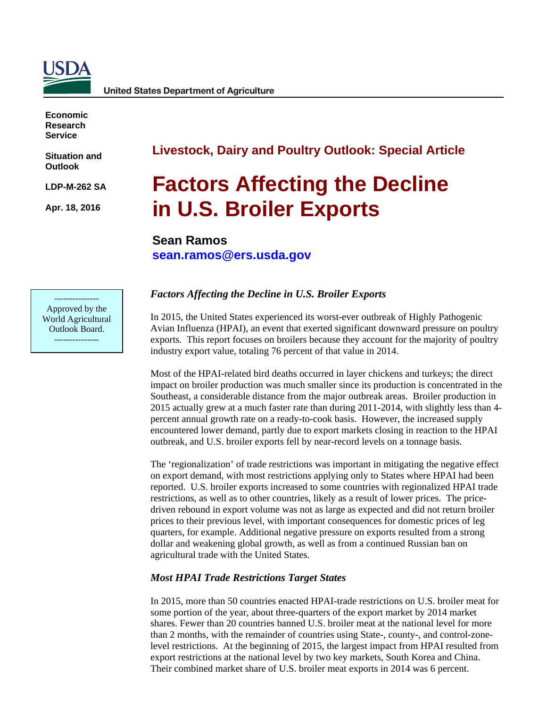<span id="page-21-0"></span>

**Economic Research Service**

**Situation and Outlook** 

**LDP-M-262 SA**

**Apr. 18, 2016**

## **Livestock, Dairy and Poultry Outlook: Special Article**

## **Factors Affecting the Decline in U.S. Broiler Exports**

## **Sean Ramos [sean.ramos@ers.usda.gov](mailto:sean.ramos@ers.usda.gov)**

--------------- Approved by the World Agricultural Outlook Board. ---------------

### *Factors Affecting the Decline in U.S. Broiler Exports*

In 2015, the United States experienced its worst-ever outbreak of Highly Pathogenic Avian Influenza (HPAI), an event that exerted significant downward pressure on poultry exports. This report focuses on broilers because they account for the majority of poultry industry export value, totaling 76 percent of that value in 2014.

Most of the HPAI-related bird deaths occurred in layer chickens and turkeys; the direct impact on broiler production was much smaller since its production is concentrated in the Southeast, a considerable distance from the major outbreak areas. Broiler production in 2015 actually grew at a much faster rate than during 2011-2014, with slightly less than 4 percent annual growth rate on a ready-to-cook basis. However, the increased supply encountered lower demand, partly due to export markets closing in reaction to the HPAI outbreak, and U.S. broiler exports fell by near-record levels on a tonnage basis.

The 'regionalization' of trade restrictions was important in mitigating the negative effect on export demand, with most restrictions applying only to States where HPAI had been reported. U.S. broiler exports increased to some countries with regionalized HPAI trade restrictions, as well as to other countries, likely as a result of lower prices. The pricedriven rebound in export volume was not as large as expected and did not return broiler prices to their previous level, with important consequences for domestic prices of leg quarters, for example. Additional negative pressure on exports resulted from a strong dollar and weakening global growth, as well as from a continued Russian ban on agricultural trade with the United States.

### *Most HPAI Trade Restrictions Target States*

In 2015, more than 50 countries enacted HPAI-trade restrictions on U.S. broiler meat for some portion of the year, about three-quarters of the export market by 2014 market shares. Fewer than 20 countries banned U.S. broiler meat at the national level for more than 2 months, with the remainder of countries using State-, county-, and control-zonelevel restrictions. At the beginning of 2015, the largest impact from HPAI resulted from export restrictions at the national level by two key markets, South Korea and China. Their combined market share of U.S. broiler meat exports in 2014 was 6 percent.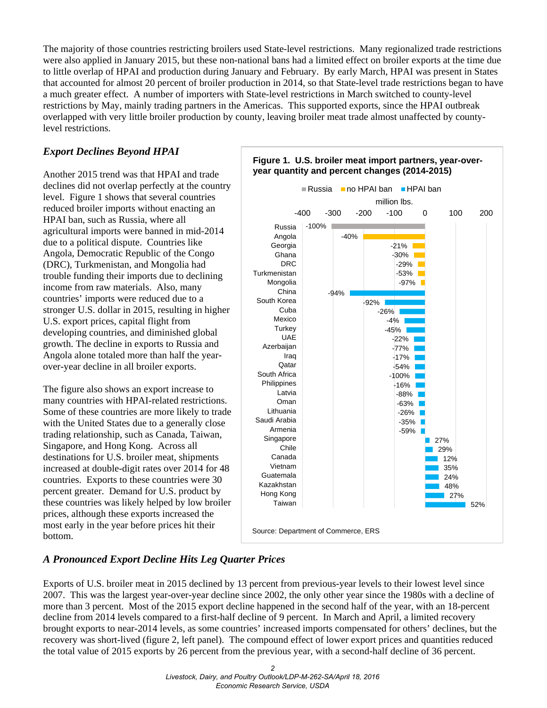The majority of those countries restricting broilers used State-level restrictions. Many regionalized trade restrictions were also applied in January 2015, but these non-national bans had a limited effect on broiler exports at the time due to little overlap of HPAI and production during January and February. By early March, HPAI was present in States that accounted for almost 20 percent of broiler production in 2014, so that State-level trade restrictions began to have a much greater effect. A number of importers with State-level restrictions in March switched to county-level restrictions by May, mainly trading partners in the Americas. This supported exports, since the HPAI outbreak overlapped with very little broiler production by county, leaving broiler meat trade almost unaffected by countylevel restrictions.

### *Export Declines Beyond HPAI*

Another 2015 trend was that HPAI and trade declines did not overlap perfectly at the country level. Figure 1 shows that several countries reduced broiler imports without enacting an HPAI ban, such as Russia, where all agricultural imports were banned in mid-2014 due to a political dispute. Countries like Angola, Democratic Republic of the Congo (DRC), Turkmenistan, and Mongolia had trouble funding their imports due to declining income from raw materials. Also, many countries' imports were reduced due to a stronger U.S. dollar in 2015, resulting in higher U.S. export prices, capital flight from developing countries, and diminished global growth. The decline in exports to Russia and Angola alone totaled more than half the yearover-year decline in all broiler exports.

The figure also shows an export increase to many countries with HPAI-related restrictions. Some of these countries are more likely to trade with the United States due to a generally close trading relationship, such as Canada, Taiwan, Singapore, and Hong Kong. Across all destinations for U.S. broiler meat, shipments increased at double-digit rates over 2014 for 48 countries. Exports to these countries were 30 percent greater. Demand for U.S. product by these countries was likely helped by low broiler prices, although these exports increased the most early in the year before prices hit their bottom.



#### **Figure 1. U.S. broiler meat import partners, year-overyear quantity and percent changes (2014-2015)**

### *A Pronounced Export Decline Hits Leg Quarter Prices*

Exports of U.S. broiler meat in 2015 declined by 13 percent from previous-year levels to their lowest level since 2007. This was the largest year-over-year decline since 2002, the only other year since the 1980s with a decline of more than 3 percent. Most of the 2015 export decline happened in the second half of the year, with an 18-percent decline from 2014 levels compared to a first-half decline of 9 percent. In March and April, a limited recovery brought exports to near-2014 levels, as some countries' increased imports compensated for others' declines, but the recovery was short-lived (figure 2, left panel). The compound effect of lower export prices and quantities reduced the total value of 2015 exports by 26 percent from the previous year, with a second-half decline of 36 percent.